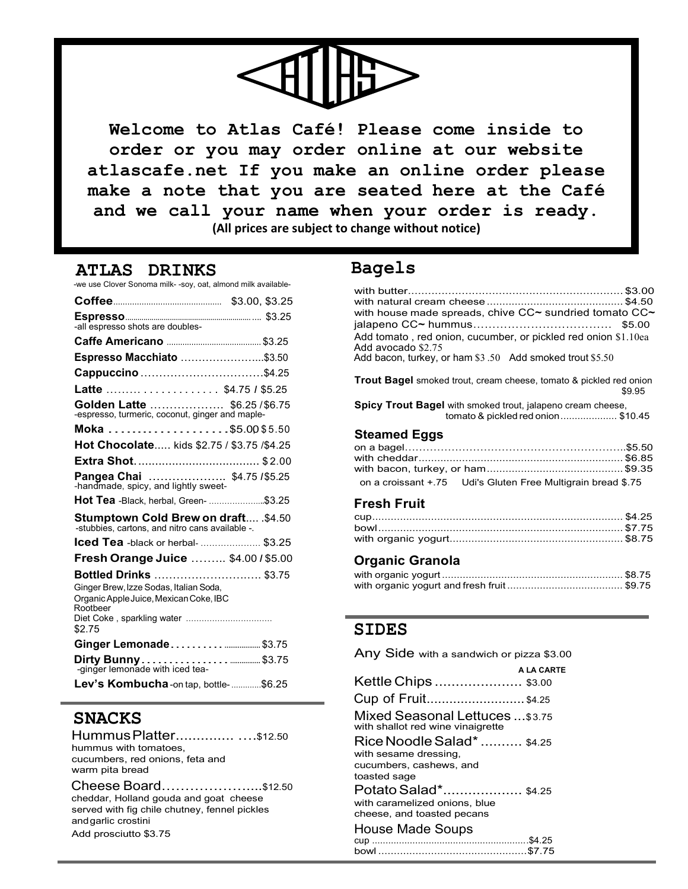

**Welcome to Atlas Café! Please come inside to order or you may order online at our website atlascafe.net If you make an online order please make a note that you are seated here at the Café and we call your name when your order is ready. (All prices are subject to change without notice)**

**ATLAS DRINKS** -we use Clover Sonoma milk- -soy, oat, almond milk available-

| -all espresso shots are doubles-                                                                                                     |  |
|--------------------------------------------------------------------------------------------------------------------------------------|--|
|                                                                                                                                      |  |
| Espresso Macchiato \$3.50                                                                                                            |  |
| Cappuccino \$4.25                                                                                                                    |  |
| Latte \$4.75 / \$5.25                                                                                                                |  |
| Golden Latte  \$6.25/\$6.75<br>-espresso, turmeric, coconut, ginger and maple-                                                       |  |
|                                                                                                                                      |  |
| Hot Chocolate kids \$2.75 / \$3.75 /\$4.25                                                                                           |  |
|                                                                                                                                      |  |
| Pangea Chai  \$4.75 / \$5.25<br>-handmade, spicy, and lightly sweet-                                                                 |  |
| Hot Tea -Black, herbal, Green- \$3.25                                                                                                |  |
| Stumptown Cold Brew on draft . \$4.50<br>-stubbies, cartons, and nitro cans available -.                                             |  |
| <b>Iced Tea</b> -black or herbal-  \$3.25                                                                                            |  |
| Fresh Orange Juice  \$4.00 / \$5.00                                                                                                  |  |
| Bottled Drinks  \$3.75                                                                                                               |  |
| Ginger Brew, Izze Sodas, Italian Soda,<br>Organic Apple Juice, Mexican Coke, IBC<br>Rootheer<br>Diet Coke, sparkling water<br>\$2.75 |  |
| Ginger Lemonade \$3.75                                                                                                               |  |
| -ginger lemonade with iced tea-                                                                                                      |  |
| Lev's Kombucha-on tap, bottle-\$6.25                                                                                                 |  |

# **SNACKS**

Hummus Platter.......................\$12.50 hummus with tomatoes, cucumbers, red onions, feta and warm pita bread

Cheese Board………………....\$12.50 cheddar, Holland gouda and goat cheese served with fig chile chutney, fennel pickles andgarlic crostini Add prosciutto \$3.75

# **Bagels**

| with house made spreads, chive CC~ sundried tomato CC~<br>\$5.00<br>Add tomato, red onion, cucumber, or pickled red onion \$1.10ea<br>Add avocado \$2.75<br>Add bacon, turkey, or ham \$3.50 Add smoked trout \$5.50 |
|----------------------------------------------------------------------------------------------------------------------------------------------------------------------------------------------------------------------|
| <b>Trout Bagel</b> smoked trout, cream cheese, tomato & pickled red onion<br>\$9.95                                                                                                                                  |
| <b>Spicy Trout Bagel</b> with smoked trout, jalapeno cream cheese,<br>tomato & pickled red onion\$10.45                                                                                                              |
| <b>Steamed Eggs</b>                                                                                                                                                                                                  |
|                                                                                                                                                                                                                      |
|                                                                                                                                                                                                                      |
|                                                                                                                                                                                                                      |
| on a croissant +.75 Udi's Gluten Free Multigrain bread \$.75                                                                                                                                                         |
| <b>Fresh Fruit</b>                                                                                                                                                                                                   |
|                                                                                                                                                                                                                      |
|                                                                                                                                                                                                                      |

## **Organic Granola**

with organic yogurt........................................................ \$8.75

### **SIDES**

Any Side with a sandwich or pizza \$3.00

|                                                                                     | <b>A LA CARTE</b> |
|-------------------------------------------------------------------------------------|-------------------|
| Kettle Chips  \$3.00                                                                |                   |
| Cup of Fruit\$4.25                                                                  |                   |
| Mixed Seasonal Lettuces  \$3.75<br>with shallot red wine vinaigrette                |                   |
| Rice Noodle Salad*  \$4.25<br>with sesame dressing,                                 |                   |
| cucumbers, cashews, and<br>toasted sage                                             |                   |
| Potato Salad* \$4.25<br>with caramelized onions, blue<br>cheese, and toasted pecans |                   |
| <b>House Made Soups</b>                                                             |                   |
|                                                                                     |                   |